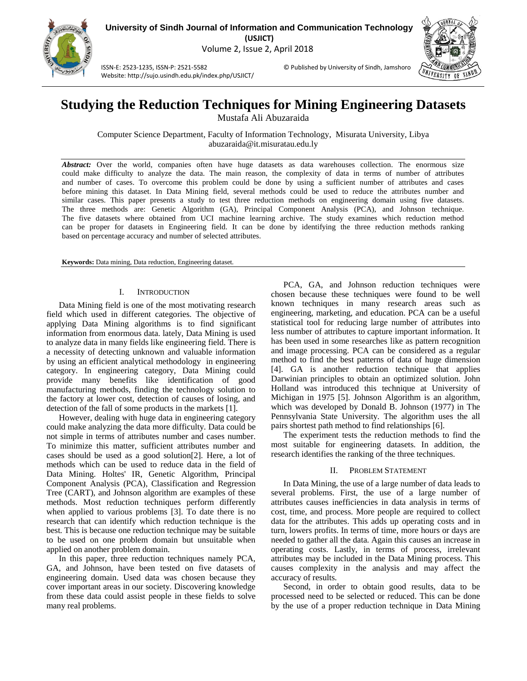

**University of Sindh Journal of Information and Communication Technology (USJICT)** Volume 2, Issue 2, April 2018

ISSN-E: 2523-1235, ISSN-P: 2521-5582 © Published by University of Sindh, Jamshoro Website: http://sujo.usindh.edu.pk/index.php/USJICT/



# **Studying the Reduction Techniques for Mining Engineering Datasets**

Mustafa Ali Abuzaraida

Computer Science Department, Faculty of Information Technology, Misurata University, Libya abuzaraida@it.misuratau.edu.ly

*Abstract:* Over the world, companies often have huge datasets as data warehouses collection. The enormous size could make difficulty to analyze the data. The main reason, the complexity of data in terms of number of attributes and number of cases. To overcome this problem could be done by using a sufficient number of attributes and cases before mining this dataset. In Data Mining field, several methods could be used to reduce the attributes number and similar cases. This paper presents a study to test three reduction methods on engineering domain using five datasets. The three methods are: Genetic Algorithm (GA), Principal Component Analysis (PCA), and Johnson technique. The five datasets where obtained from UCI machine learning archive. The study examines which reduction method can be proper for datasets in Engineering field. It can be done by identifying the three reduction methods ranking based on percentage accuracy and number of selected attributes.

**Keywords:** Data mining, Data reduction, Engineering dataset.

## I. INTRODUCTION

Data Mining field is one of the most motivating research field which used in different categories. The objective of applying Data Mining algorithms is to find significant information from enormous data. lately, Data Mining is used to analyze data in many fields like engineering field. There is a necessity of detecting unknown and valuable information by using an efficient analytical methodology in engineering category. In engineering category, Data Mining could provide many benefits like identification of good manufacturing methods, finding the technology solution to the factory at lower cost, detection of causes of losing, and detection of the fall of some products in the markets [\[1\]](#page-4-0).

However, dealing with huge data in engineering category could make analyzing the data more difficulty. Data could be not simple in terms of attributes number and cases number. To minimize this matter, sufficient attributes number and cases should be used as a good solution[\[2\]](#page-4-1). Here, a lot of methods which can be used to reduce data in the field of Data Mining. Holtes' IR, Genetic Algorithm, Principal Component Analysis (PCA), Classification and Regression Tree (CART), and Johnson algorithm are examples of these methods. Most reduction techniques perform differently when applied to various problems [\[3\]](#page-4-2). To date there is no research that can identify which reduction technique is the best. This is because one reduction technique may be suitable to be used on one problem domain but unsuitable when applied on another problem domain.

In this paper, three reduction techniques namely PCA, GA, and Johnson, have been tested on five datasets of engineering domain. Used data was chosen because they cover important areas in our society. Discovering knowledge from these data could assist people in these fields to solve many real problems.

PCA, GA, and Johnson reduction techniques were chosen because these techniques were found to be well known techniques in many research areas such as engineering, marketing, and education. PCA can be a useful statistical tool for reducing large number of attributes into less number of attributes to capture important information. It has been used in some researches like as pattern recognition and image processing. PCA can be considered as a regular method to find the best patterns of data of huge dimension [\[4\]](#page-4-3). GA is another reduction technique that applies Darwinian principles to obtain an optimized solution. John Holland was introduced this technique at University of Michigan in 1975 [\[5\]](#page-4-4). Johnson Algorithm is an algorithm, which was developed by Donald B. Johnson (1977) in The Pennsylvania State University. The algorithm uses the all pairs shortest path method to find relationships [\[6\]](#page-4-5).

The experiment tests the reduction methods to find the most suitable for engineering datasets. In addition, the research identifies the ranking of the three techniques.

# II. PROBLEM STATEMENT

In Data Mining, the use of a large number of data leads to several problems. First, the use of a large number of attributes causes inefficiencies in data analysis in terms of cost, time, and process. More people are required to collect data for the attributes. This adds up operating costs and in turn, lowers profits. In terms of time, more hours or days are needed to gather all the data. Again this causes an increase in operating costs. Lastly, in terms of process, irrelevant attributes may be included in the Data Mining process. This causes complexity in the analysis and may affect the accuracy of results.

Second, in order to obtain good results, data to be processed need to be selected or reduced. This can be done by the use of a proper reduction technique in Data Mining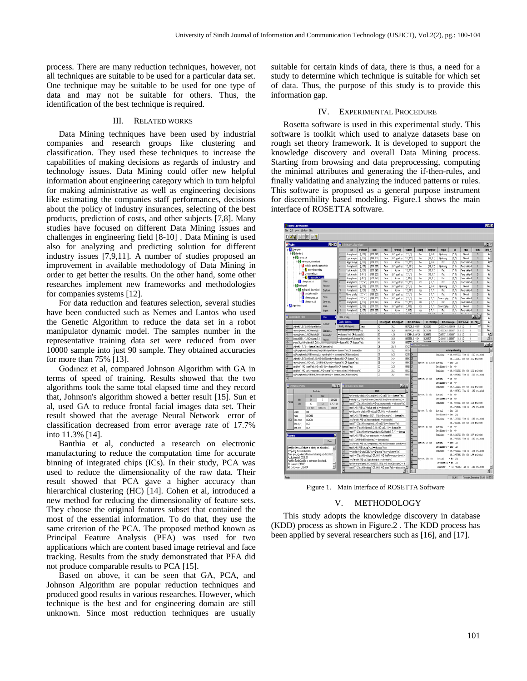process. There are many reduction techniques, however, not all techniques are suitable to be used for a particular data set. One technique may be suitable to be used for one type of data and may not be suitable for others. Thus, the identification of the best technique is required.

## III. RELATED WORKS

Data Mining techniques have been used by industrial companies and research groups like clustering and classification. They used these techniques to increase the capabilities of making decisions as regards of industry and technology issues. Data Mining could offer new helpful information about engineering category which in turn helpful for making administrative as well as engineering decisions like estimating the companies staff performances, decisions about the policy of industry insurances, selecting of the best products, prediction of costs, and other subjects [\[7,](#page-4-6)[8\]](#page-4-7). Many studies have focused on different Data Mining issues and challenges in engineering field [\[8-10\]](#page-4-7) . Data Mining is used also for analyzing and predicting solution for different industry issues [\[7](#page-4-6)[,9,](#page-4-8)[11\]](#page-4-9). A number of studies proposed an improvement in available methodology of Data Mining in order to get better the results. On the other hand, some other researches implement new frameworks and methodologies for companies systems [\[12\]](#page-4-10).

For data reduction and features selection, several studies have been conducted such as Nemes and Lantos who used the Genetic Algorithm to reduce the data set in a robot manipulator dynamic model. The samples number in the representative training data set were reduced from over 10000 sample into just 90 sample. They obtained accuracies for more than 75% [\[13\]](#page-4-11).

Godınez et al, compared Johnson Algorithm with GA in terms of speed of training. Results showed that the two algorithms took the same total elapsed time and they record that, Johnson's algorithm showed a better result [15]. Sun et al, used GA to reduce frontal facial images data set. Their result showed that the average Neural Network error of classification decreased from error average rate of 17.7% into 11.3% [14].

Banthia et al, conducted a research on electronic manufacturing to reduce the computation time for accurate binning of integrated chips (ICs). In their study, PCA was used to reduce the dimensionality of the raw data. Their result showed that PCA gave a higher accuracy than hierarchical clustering (HC) [\[14\]](#page-4-12). Cohen et al, introduced a new method for reducing the dimensionality of feature sets. They choose the original features subset that contained the most of the essential information. To do that, they use the same criterion of the PCA. The proposed method known as Principal Feature Analysis (PFA) was used for two applications which are content based image retrieval and face tracking. Results from the study demonstrated that PFA did not produce comparable results to PCA [\[15\]](#page-4-13).

Based on above, it can be seen that GA, PCA, and Johnson Algorithm are popular reduction techniques and produced good results in various researches. However, which technique is the best and for engineering domain are still unknown. Since most reduction techniques are usually

suitable for certain kinds of data, there is thus, a need for a study to determine which technique is suitable for which set of data. Thus, the purpose of this study is to provide this information gap.

#### IV. EXPERIMENTAL PROCEDURE

Rosetta software is used in this experimental study. This software is toolkit which used to analyze datasets base on rough set theory framework. It is developed to support the knowledge discovery and overall Data Mining process. Starting from browsing and data preprocessing, computing the minimal attributes and generating the if-then-rules, and finally validating and analyzing the induced patterns or rules. This software is proposed as a general purpose instrument for discernibility based modeling. Figure.1 shows the main interface of ROSETTA software.



Figure 1. Main Interface of ROSETTA Software

## V. METHODOLOGY

This study adopts the knowledge discovery in database (KDD) process as shown in Figure.2 . The KDD process has been applied by several researchers such as [\[16\]](#page-4-14), and [\[17\]](#page-4-15).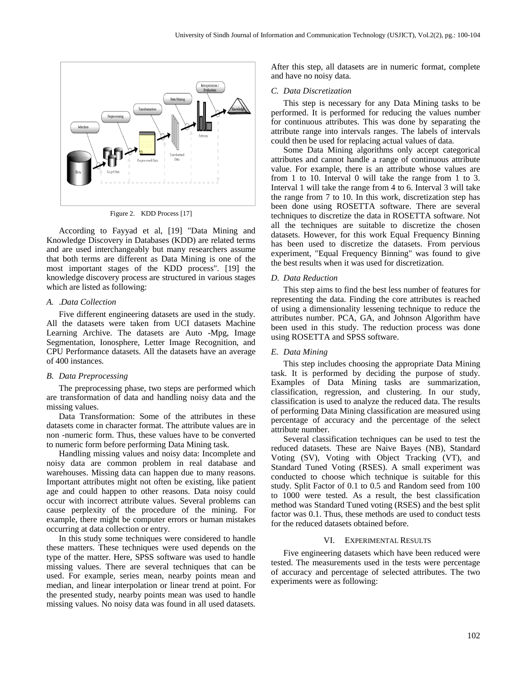

Figure 2. KDD Process [\[17\]](#page-4-15)

According to Fayyad et al, [19] "Data Mining and Knowledge Discovery in Databases (KDD) are related terms and are used interchangeably but many researchers assume that both terms are different as Data Mining is one of the most important stages of the KDD process". [19] the knowledge discovery process are structured in various stages which are listed as following:

## *A.* .*Data Collection*

Five different engineering datasets are used in the study. All the datasets were taken from UCI datasets Machine Learning Archive. The datasets are Auto -Mpg, Image Segmentation, Ionosphere, Letter Image Recognition, and CPU Performance datasets. All the datasets have an average of 400 instances.

#### *B. Data Preprocessing*

The preprocessing phase, two steps are performed which are transformation of data and handling noisy data and the missing values.

Data Transformation: Some of the attributes in these datasets come in character format. The attribute values are in non -numeric form. Thus, these values have to be converted to numeric form before performing Data Mining task.

Handling missing values and noisy data: Incomplete and noisy data are common problem in real database and warehouses. Missing data can happen due to many reasons. Important attributes might not often be existing, like patient age and could happen to other reasons. Data noisy could occur with incorrect attribute values. Several problems can cause perplexity of the procedure of the mining. For example, there might be computer errors or human mistakes occurring at data collection or entry.

In this study some techniques were considered to handle these matters. These techniques were used depends on the type of the matter. Here, SPSS software was used to handle missing values. There are several techniques that can be used. For example, series mean, nearby points mean and median, and linear interpolation or linear trend at point. For the presented study, nearby points mean was used to handle missing values. No noisy data was found in all used datasets. After this step, all datasets are in numeric format, complete and have no noisy data.

#### *C. Data Discretization*

This step is necessary for any Data Mining tasks to be performed. It is performed for reducing the values number for continuous attributes. This was done by separating the attribute range into intervals ranges. The labels of intervals could then be used for replacing actual values of data.

Some Data Mining algorithms only accept categorical attributes and cannot handle a range of continuous attribute value. For example, there is an attribute whose values are from 1 to 10. Interval 0 will take the range from 1 to 3. Interval 1 will take the range from 4 to 6. Interval 3 will take the range from 7 to 10. In this work, discretization step has been done using ROSETTA software. There are several techniques to discretize the data in ROSETTA software. Not all the techniques are suitable to discretize the chosen datasets. However, for this work Equal Frequency Binning has been used to discretize the datasets. From pervious experiment, "Equal Frequency Binning" was found to give the best results when it was used for discretization.

#### *D. Data Reduction*

This step aims to find the best less number of features for representing the data. Finding the core attributes is reached of using a dimensionality lessening technique to reduce the attributes number. PCA, GA, and Johnson Algorithm have been used in this study. The reduction process was done using ROSETTA and SPSS software.

## *E. Data Mining*

This step includes choosing the appropriate Data Mining task. It is performed by deciding the purpose of study. Examples of Data Mining tasks are summarization, classification, regression, and clustering. In our study, classification is used to analyze the reduced data. The results of performing Data Mining classification are measured using percentage of accuracy and the percentage of the select attribute number.

Several classification techniques can be used to test the reduced datasets. These are Naive Bayes (NB), Standard Voting (SV), Voting with Object Tracking (VT), and Standard Tuned Voting (RSES). A small experiment was conducted to choose which technique is suitable for this study. Split Factor of 0.1 to 0.5 and Random seed from 100 to 1000 were tested. As a result, the best classification method was Standard Tuned voting (RSES) and the best split factor was 0.1. Thus, these methods are used to conduct tests for the reduced datasets obtained before.

## VI. EXPERIMENTAL RESULTS

Five engineering datasets which have been reduced were tested. The measurements used in the tests were percentage of accuracy and percentage of selected attributes. The two experiments were as following: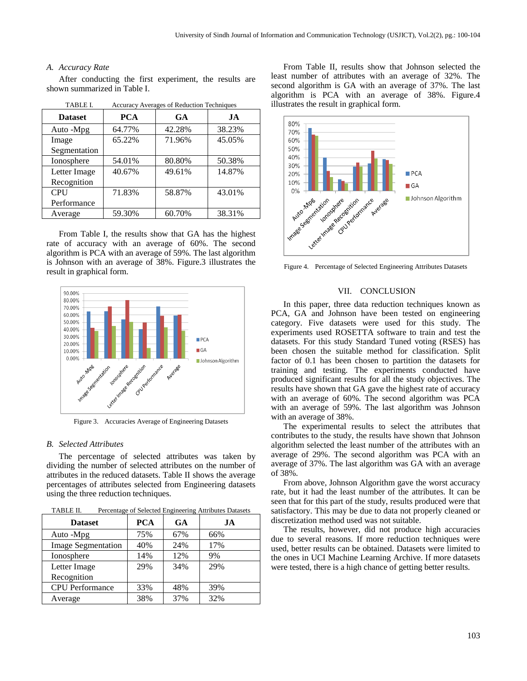## *A. Accuracy Rate*

After conducting the first experiment, the results are shown summarized in Table I.

| .              | <i>Procuracy Procruges</i> of Reduction Techniques |           |        |
|----------------|----------------------------------------------------|-----------|--------|
| <b>Dataset</b> | <b>PCA</b>                                         | <b>GA</b> | JA     |
| Auto -Mpg      | 64.77%                                             | 42.28%    | 38.23% |
| Image          | 65.22%                                             | 71.96%    | 45.05% |
| Segmentation   |                                                    |           |        |
| Ionosphere     | 54.01%                                             | 80.80%    | 50.38% |
| Letter Image   | 40.67%                                             | 49.61%    | 14.87% |
| Recognition    |                                                    |           |        |
| CPU            | 71.83%                                             | 58.87%    | 43.01% |
| Performance    |                                                    |           |        |
| Average        | 59.30%                                             | 60.70%    | 38.31% |
|                |                                                    |           |        |

TABLE I. Accuracy Averages of Reduction Techniques

From Table I, the results show that GA has the highest rate of accuracy with an average of 60%. The second algorithm is PCA with an average of 59%. The last algorithm is Johnson with an average of 38%. Figure.3 illustrates the result in graphical form.



Figure 3. Accuracies Average of Engineering Datasets

## *B. Selected Attributes*

The percentage of selected attributes was taken by dividing the number of selected attributes on the number of attributes in the reduced datasets. Table II shows the average percentages of attributes selected from Engineering datasets using the three reduction techniques.

| TABLE II. | Percentage of Selected Engineering Attributes Datasets |
|-----------|--------------------------------------------------------|
|-----------|--------------------------------------------------------|

| <b>Dataset</b>            | <b>PCA</b> | <b>GA</b> | JA  |
|---------------------------|------------|-----------|-----|
| Auto -Mpg                 | 75%        | 67%       | 66% |
| <b>Image Segmentation</b> | 40%        | 24%       | 17% |
| Ionosphere                | 14%        | 12%       | 9%  |
| Letter Image              | 29%        | 34%       | 29% |
| Recognition               |            |           |     |
| <b>CPU</b> Performance    | 33%        | 48%       | 39% |
| Average                   | 38%        | 37%       | 32% |

From Table II, results show that Johnson selected the least number of attributes with an average of 32%. The second algorithm is GA with an average of 37%. The last algorithm is PCA with an average of 38%. Figure.4 illustrates the result in graphical form.



Figure 4. Percentage of Selected Engineering Attributes Datasets

#### VII. CONCLUSION

In this paper, three data reduction techniques known as PCA, GA and Johnson have been tested on engineering category. Five datasets were used for this study. The experiments used ROSETTA software to train and test the datasets. For this study Standard Tuned voting (RSES) has been chosen the suitable method for classification. Split factor of 0.1 has been chosen to partition the datasets for training and testing. The experiments conducted have produced significant results for all the study objectives. The results have shown that GA gave the highest rate of accuracy with an average of 60%. The second algorithm was PCA with an average of 59%. The last algorithm was Johnson with an average of 38%.

The experimental results to select the attributes that contributes to the study, the results have shown that Johnson algorithm selected the least number of the attributes with an average of 29%. The second algorithm was PCA with an average of 37%. The last algorithm was GA with an average of 38%.

From above, Johnson Algorithm gave the worst accuracy rate, but it had the least number of the attributes. It can be seen that for this part of the study, results produced were that satisfactory. This may be due to data not properly cleaned or discretization method used was not suitable.

The results, however, did not produce high accuracies due to several reasons. If more reduction techniques were used, better results can be obtained. Datasets were limited to the ones in UCI Machine Learning Archive. If more datasets were tested, there is a high chance of getting better results.